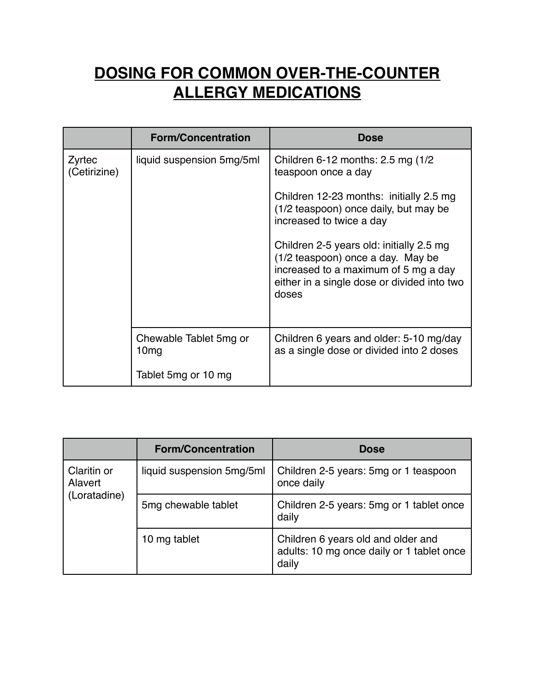## **DOSING FOR COMMON OVER-THE-COUNTER ALLERGY MEDICATIONS**

|                        | <b>Form/Concentration</b>                  | <b>Dose</b>                                                                                                                                                                   |
|------------------------|--------------------------------------------|-------------------------------------------------------------------------------------------------------------------------------------------------------------------------------|
| Zyrtec<br>(Cetirizine) | liquid suspension 5mg/5ml                  | Children 6-12 months: 2.5 mg (1/2)<br>teaspoon once a day                                                                                                                     |
|                        |                                            | Children 12-23 months: initially 2.5 mg<br>(1/2 teaspoon) once daily, but may be<br>increased to twice a day                                                                  |
|                        |                                            | Children 2-5 years old: initially 2.5 mg<br>(1/2 teaspoon) once a day. May be<br>increased to a maximum of 5 mg a day<br>either in a single dose or divided into two<br>doses |
|                        | Chewable Tablet 5mg or<br>10 <sub>mg</sub> | Children 6 years and older: 5-10 mg/day<br>as a single dose or divided into 2 doses                                                                                           |
|                        | Tablet 5mg or 10 mg                        |                                                                                                                                                                               |

|                                        | <b>Form/Concentration</b> | <b>Dose</b>                                                                              |
|----------------------------------------|---------------------------|------------------------------------------------------------------------------------------|
| Claritin or<br>Alavert<br>(Loratadine) | liquid suspension 5mg/5ml | Children 2-5 years: 5mg or 1 teaspoon<br>once daily                                      |
|                                        | 5mg chewable tablet       | Children 2-5 years: 5mg or 1 tablet once<br>daily                                        |
|                                        | 10 mg tablet              | Children 6 years old and older and<br>adults: 10 mg once daily or 1 tablet once<br>daily |